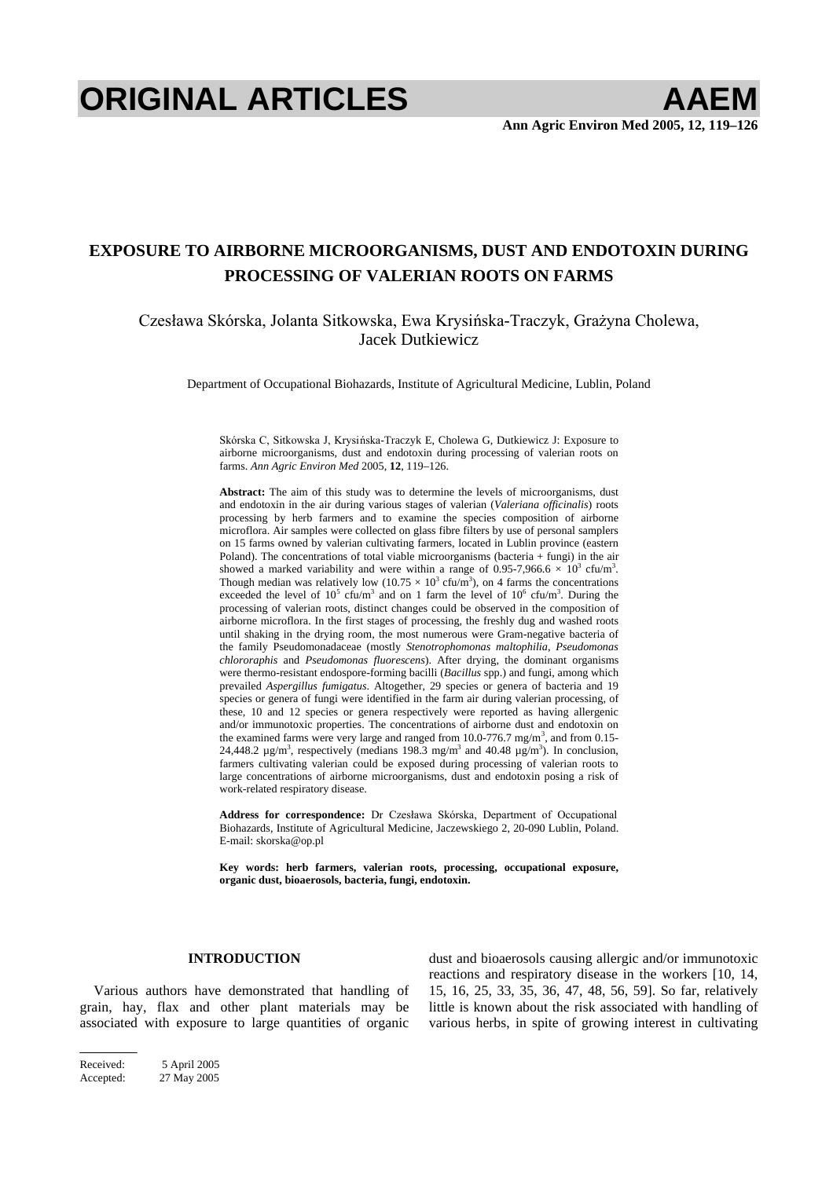# **ORIGINAL ARTICLES AAEM**

# **EXPOSURE TO AIRBORNE MICROORGANISMS, DUST AND ENDOTOXIN DURING PROCESSING OF VALERIAN ROOTS ON FARMS**

Czesława Skórska, Jolanta Sitkowska, Ewa Krysińska-Traczyk, Grażyna Cholewa, Jacek Dutkiewicz

Department of Occupational Biohazards, Institute of Agricultural Medicine, Lublin, Poland

Skórska C, Sitkowska J, Krysińska-Traczyk E, Cholewa G, Dutkiewicz J: Exposure to airborne microorganisms, dust and endotoxin during processing of valerian roots on farms. *Ann Agric Environ Med* 2005, **12**, 119–126.

**Abstract:** The aim of this study was to determine the levels of microorganisms, dust and endotoxin in the air during various stages of valerian (*Valeriana officinalis*) roots processing by herb farmers and to examine the species composition of airborne microflora. Air samples were collected on glass fibre filters by use of personal samplers on 15 farms owned by valerian cultivating farmers, located in Lublin province (eastern Poland). The concentrations of total viable microorganisms (bacteria  $+$  fungi) in the air showed a marked variability and were within a range of 0.95-7,966.6  $\times$  10<sup>3</sup> cfu/m<sup>3</sup>. Though median was relatively low  $(10.75 \times 10^3 \text{ c} \text{fu/m}^3)$ , on 4 farms the concentrations exceeded the level of  $10^5$  cfu/m<sup>3</sup> and on 1 farm the level of  $10^6$  cfu/m<sup>3</sup>. During the processing of valerian roots, distinct changes could be observed in the composition of airborne microflora. In the first stages of processing, the freshly dug and washed roots until shaking in the drying room, the most numerous were Gram-negative bacteria of the family Pseudomonadaceae (mostly *Stenotrophomonas maltophilia*, *Pseudomonas chlororaphis* and *Pseudomonas fluorescens*). After drying, the dominant organisms were thermo-resistant endospore-forming bacilli (*Bacillus* spp.) and fungi, among which prevailed *Aspergillus fumigatus*. Altogether, 29 species or genera of bacteria and 19 species or genera of fungi were identified in the farm air during valerian processing, of these, 10 and 12 species or genera respectively were reported as having allergenic and/or immunotoxic properties. The concentrations of airborne dust and endotoxin on the examined farms were very large and ranged from 10.0-776.7 mg/m<sup>3</sup>, and from 0.15-24,448.2  $\mu$ g/m<sup>3</sup>, respectively (medians 198.3 mg/m<sup>3</sup> and 40.48  $\mu$ g/m<sup>3</sup>). In conclusion, farmers cultivating valerian could be exposed during processing of valerian roots to large concentrations of airborne microorganisms, dust and endotoxin posing a risk of work-related respiratory disease.

Address for correspondence: Dr Czesława Skórska, Department of Occupational Biohazards, Institute of Agricultural Medicine, Jaczewskiego 2, 20-090 Lublin, Poland. E-mail: skorska@op.pl

**Key words: herb farmers, valerian roots, processing, occupational exposure, organic dust, bioaerosols, bacteria, fungi, endotoxin.** 

#### **INTRODUCTION**

Various authors have demonstrated that handling of grain, hay, flax and other plant materials may be associated with exposure to large quantities of organic dust and bioaerosols causing allergic and/or immunotoxic reactions and respiratory disease in the workers [10, 14, 15, 16, 25, 33, 35, 36, 47, 48, 56, 59]. So far, relatively little is known about the risk associated with handling of various herbs, in spite of growing interest in cultivating

Received: 5 April 2005 Accepted: 27 May 2005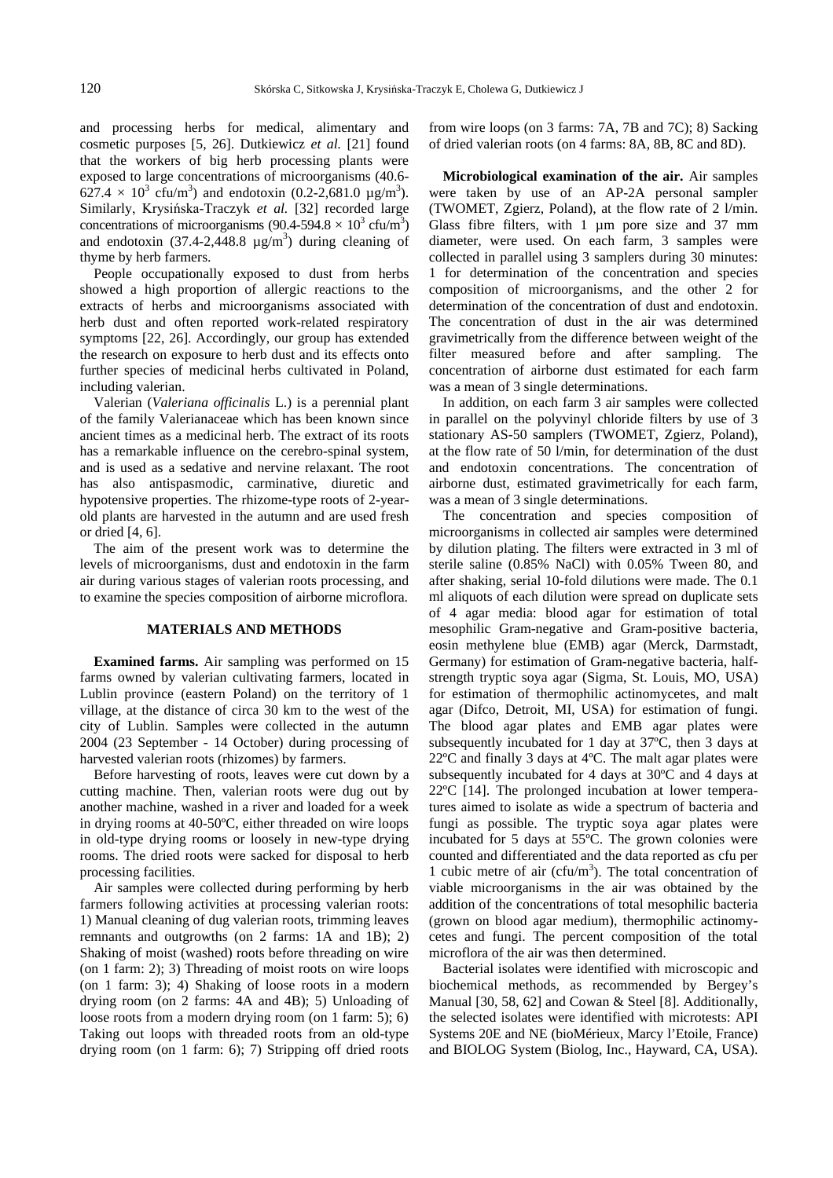and processing herbs for medical, alimentary and cosmetic purposes [5, 26]. Dutkiewicz *et al.* [21] found that the workers of big herb processing plants were exposed to large concentrations of microorganisms (40.6-  $627.4 \times 10^3$  cfu/m<sup>3</sup>) and endotoxin (0.2-2,681.0 µg/m<sup>3</sup>). Similarly, Krysińska-Traczyk *et al.* [32] recorded large concentrations of microorganisms (90.4-594.8  $\times$  10<sup>3</sup> cfu/m<sup>3</sup>) and endotoxin  $(37.4-2.448.8 \text{ }\mu\text{g/m}^3)$  during cleaning of thyme by herb farmers.

People occupationally exposed to dust from herbs showed a high proportion of allergic reactions to the extracts of herbs and microorganisms associated with herb dust and often reported work-related respiratory symptoms [22, 26]. Accordingly, our group has extended the research on exposure to herb dust and its effects onto further species of medicinal herbs cultivated in Poland, including valerian.

Valerian (*Valeriana officinalis* L.) is a perennial plant of the family Valerianaceae which has been known since ancient times as a medicinal herb. The extract of its roots has a remarkable influence on the cerebro-spinal system, and is used as a sedative and nervine relaxant. The root has also antispasmodic, carminative, diuretic and hypotensive properties. The rhizome-type roots of 2-yearold plants are harvested in the autumn and are used fresh or dried [4, 6].

The aim of the present work was to determine the levels of microorganisms, dust and endotoxin in the farm air during various stages of valerian roots processing, and to examine the species composition of airborne microflora.

#### **MATERIALS AND METHODS**

**Examined farms.** Air sampling was performed on 15 farms owned by valerian cultivating farmers, located in Lublin province (eastern Poland) on the territory of 1 village, at the distance of circa 30 km to the west of the city of Lublin. Samples were collected in the autumn 2004 (23 September - 14 October) during processing of harvested valerian roots (rhizomes) by farmers.

Before harvesting of roots, leaves were cut down by a cutting machine. Then, valerian roots were dug out by another machine, washed in a river and loaded for a week in drying rooms at 40-50ºC, either threaded on wire loops in old-type drying rooms or loosely in new-type drying rooms. The dried roots were sacked for disposal to herb processing facilities.

Air samples were collected during performing by herb farmers following activities at processing valerian roots: 1) Manual cleaning of dug valerian roots, trimming leaves remnants and outgrowths (on 2 farms: 1A and 1B); 2) Shaking of moist (washed) roots before threading on wire (on 1 farm: 2); 3) Threading of moist roots on wire loops (on 1 farm: 3); 4) Shaking of loose roots in a modern drying room (on 2 farms: 4A and 4B); 5) Unloading of loose roots from a modern drying room (on 1 farm: 5); 6) Taking out loops with threaded roots from an old-type drying room (on 1 farm: 6); 7) Stripping off dried roots from wire loops (on 3 farms: 7A, 7B and 7C); 8) Sacking of dried valerian roots (on 4 farms: 8A, 8B, 8C and 8D).

**Microbiological examination of the air.** Air samples were taken by use of an AP-2A personal sampler (TWOMET, Zgierz, Poland), at the flow rate of 2 l/min. Glass fibre filters, with 1  $\mu$ m pore size and 37 mm diameter, were used. On each farm, 3 samples were collected in parallel using 3 samplers during 30 minutes: 1 for determination of the concentration and species composition of microorganisms, and the other 2 for determination of the concentration of dust and endotoxin. The concentration of dust in the air was determined gravimetrically from the difference between weight of the filter measured before and after sampling. The concentration of airborne dust estimated for each farm was a mean of 3 single determinations.

In addition, on each farm 3 air samples were collected in parallel on the polyvinyl chloride filters by use of 3 stationary AS-50 samplers (TWOMET, Zgierz, Poland), at the flow rate of 50 l/min, for determination of the dust and endotoxin concentrations. The concentration of airborne dust, estimated gravimetrically for each farm, was a mean of 3 single determinations.

The concentration and species composition of microorganisms in collected air samples were determined by dilution plating. The filters were extracted in 3 ml of sterile saline (0.85% NaCl) with 0.05% Tween 80, and after shaking, serial 10-fold dilutions were made. The 0.1 ml aliquots of each dilution were spread on duplicate sets of 4 agar media: blood agar for estimation of total mesophilic Gram-negative and Gram-positive bacteria, eosin methylene blue (EMB) agar (Merck, Darmstadt, Germany) for estimation of Gram-negative bacteria, halfstrength tryptic soya agar (Sigma, St. Louis, MO, USA) for estimation of thermophilic actinomycetes, and malt agar (Difco, Detroit, MI, USA) for estimation of fungi. The blood agar plates and EMB agar plates were subsequently incubated for 1 day at 37ºC, then 3 days at 22ºC and finally 3 days at 4ºC. The malt agar plates were subsequently incubated for 4 days at 30ºC and 4 days at 22ºC [14]. The prolonged incubation at lower temperatures aimed to isolate as wide a spectrum of bacteria and fungi as possible. The tryptic soya agar plates were incubated for 5 days at 55ºC. The grown colonies were counted and differentiated and the data reported as cfu per 1 cubic metre of air (cfu/ $m<sup>3</sup>$ ). The total concentration of viable microorganisms in the air was obtained by the addition of the concentrations of total mesophilic bacteria (grown on blood agar medium), thermophilic actinomycetes and fungi. The percent composition of the total microflora of the air was then determined.

Bacterial isolates were identified with microscopic and biochemical methods, as recommended by Bergey's Manual [30, 58, 62] and Cowan & Steel [8]. Additionally, the selected isolates were identified with microtests: API Systems 20E and NE (bioMérieux, Marcy l'Etoile, France) and BIOLOG System (Biolog, Inc., Hayward, CA, USA).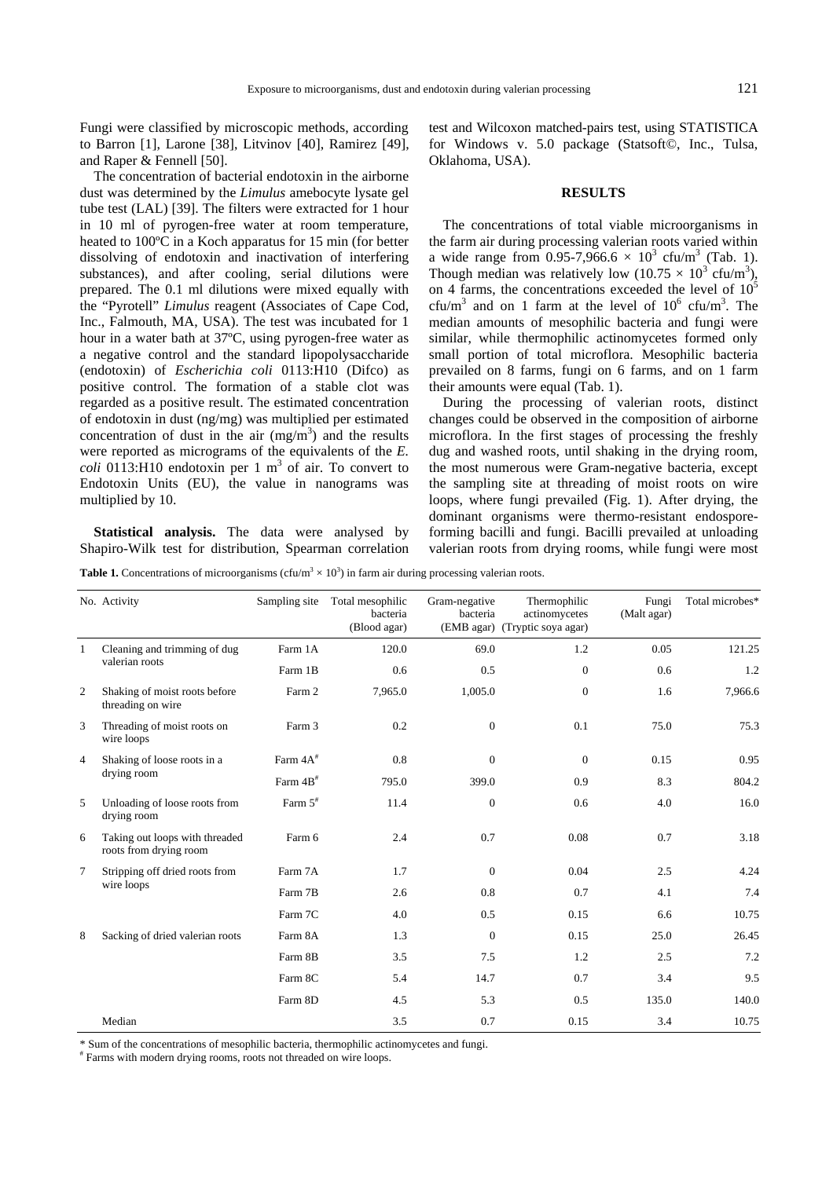Fungi were classified by microscopic methods, according to Barron [1], Larone [38], Litvinov [40], Ramirez [49], and Raper & Fennell [50].

The concentration of bacterial endotoxin in the airborne dust was determined by the *Limulus* amebocyte lysate gel tube test (LAL) [39]. The filters were extracted for 1 hour in 10 ml of pyrogen-free water at room temperature, heated to 100ºC in a Koch apparatus for 15 min (for better dissolving of endotoxin and inactivation of interfering substances), and after cooling, serial dilutions were prepared. The 0.1 ml dilutions were mixed equally with the "Pyrotell" *Limulus* reagent (Associates of Cape Cod, Inc., Falmouth, MA, USA). The test was incubated for 1 hour in a water bath at 37ºC, using pyrogen-free water as a negative control and the standard lipopolysaccharide (endotoxin) of *Escherichia coli* 0113:H10 (Difco) as positive control. The formation of a stable clot was regarded as a positive result. The estimated concentration of endotoxin in dust (ng/mg) was multiplied per estimated concentration of dust in the air  $(mg/m<sup>3</sup>)$  and the results were reported as micrograms of the equivalents of the *E.*   $\text{coli}$  0113:H10 endotoxin per 1 m<sup>3</sup> of air. To convert to Endotoxin Units (EU), the value in nanograms was multiplied by 10.

**Statistical analysis.** The data were analysed by Shapiro-Wilk test for distribution, Spearman correlation test and Wilcoxon matched-pairs test, using STATISTICA for Windows v. 5.0 package (Statsoft©, Inc., Tulsa, Oklahoma, USA).

## **RESULTS**

The concentrations of total viable microorganisms in the farm air during processing valerian roots varied within a wide range from 0.95-7,966.6  $\times$  10<sup>3</sup> cfu/m<sup>3</sup> (Tab. 1). Though median was relatively low  $(10.75 \times 10^3 \text{ c} \text{fu/m}^3)$ , on 4 farms, the concentrations exceeded the level of  $10<sup>5</sup>$ cfu/m<sup>3</sup> and on 1 farm at the level of  $10^6$  cfu/m<sup>3</sup>. The median amounts of mesophilic bacteria and fungi were similar, while thermophilic actinomycetes formed only small portion of total microflora. Mesophilic bacteria prevailed on 8 farms, fungi on 6 farms, and on 1 farm their amounts were equal (Tab. 1).

During the processing of valerian roots, distinct changes could be observed in the composition of airborne microflora. In the first stages of processing the freshly dug and washed roots, until shaking in the drying room, the most numerous were Gram-negative bacteria, except the sampling site at threading of moist roots on wire loops, where fungi prevailed (Fig. 1). After drying, the dominant organisms were thermo-resistant endosporeforming bacilli and fungi. Bacilli prevailed at unloading valerian roots from drying rooms, while fungi were most

**Table 1.** Concentrations of microorganisms (cfu/m<sup>3</sup>  $\times$  10<sup>3</sup>) in farm air during processing valerian roots.

|                | No. Activity                                             | Sampling site         | Total mesophilic<br>bacteria<br>(Blood agar) | Gram-negative<br>bacteria<br>(EMB agar) | Thermophilic<br>actinomycetes<br>(Tryptic soya agar) | Fungi<br>(Malt agar) | Total microbes* |
|----------------|----------------------------------------------------------|-----------------------|----------------------------------------------|-----------------------------------------|------------------------------------------------------|----------------------|-----------------|
| 1              | Cleaning and trimming of dug<br>valerian roots           | Farm 1A               | 120.0                                        | 69.0                                    | 1.2                                                  | 0.05                 | 121.25          |
|                |                                                          | Farm 1B               | 0.6                                          | 0.5                                     | $\mathbf{0}$                                         | 0.6                  | 1.2             |
| 2              | Shaking of moist roots before<br>threading on wire       | Farm 2                | 7,965.0                                      | 1,005.0                                 | $\overline{0}$                                       | 1.6                  | 7,966.6         |
| 3              | Threading of moist roots on<br>wire loops                | Farm 3                | 0.2                                          | $\mathbf{0}$                            | 0.1                                                  | 75.0                 | 75.3            |
| $\overline{4}$ | Shaking of loose roots in a<br>drying room               | Farm $4A^*$           | 0.8                                          | $\mathbf{0}$                            | $\mathbf{0}$                                         | 0.15                 | 0.95            |
|                |                                                          | Farm $4B^*$           | 795.0                                        | 399.0                                   | 0.9                                                  | 8.3                  | 804.2           |
| 5              | Unloading of loose roots from<br>drying room             | Farm $5$ <sup>#</sup> | 11.4                                         | $\boldsymbol{0}$                        | 0.6                                                  | 4.0                  | 16.0            |
| 6              | Taking out loops with threaded<br>roots from drying room | Farm 6                | 2.4                                          | 0.7                                     | 0.08                                                 | 0.7                  | 3.18            |
| $\overline{7}$ | Stripping off dried roots from<br>wire loops             | Farm 7A               | 1.7                                          | $\overline{0}$                          | 0.04                                                 | 2.5                  | 4.24            |
|                |                                                          | Farm 7B               | 2.6                                          | 0.8                                     | 0.7                                                  | 4.1                  | 7.4             |
|                |                                                          | Farm 7C               | 4.0                                          | 0.5                                     | 0.15                                                 | 6.6                  | 10.75           |
| 8              | Sacking of dried valerian roots                          | Farm 8A               | 1.3                                          | $\theta$                                | 0.15                                                 | 25.0                 | 26.45           |
|                |                                                          | Farm 8B               | 3.5                                          | 7.5                                     | 1.2                                                  | 2.5                  | 7.2             |
|                |                                                          | Farm 8C               | 5.4                                          | 14.7                                    | 0.7                                                  | 3.4                  | 9.5             |
|                |                                                          | Farm 8D               | 4.5                                          | 5.3                                     | 0.5                                                  | 135.0                | 140.0           |
|                | Median                                                   |                       | 3.5                                          | 0.7                                     | 0.15                                                 | 3.4                  | 10.75           |

\* Sum of the concentrations of mesophilic bacteria, thermophilic actinomycetes and fungi.

# Farms with modern drying rooms, roots not threaded on wire loops.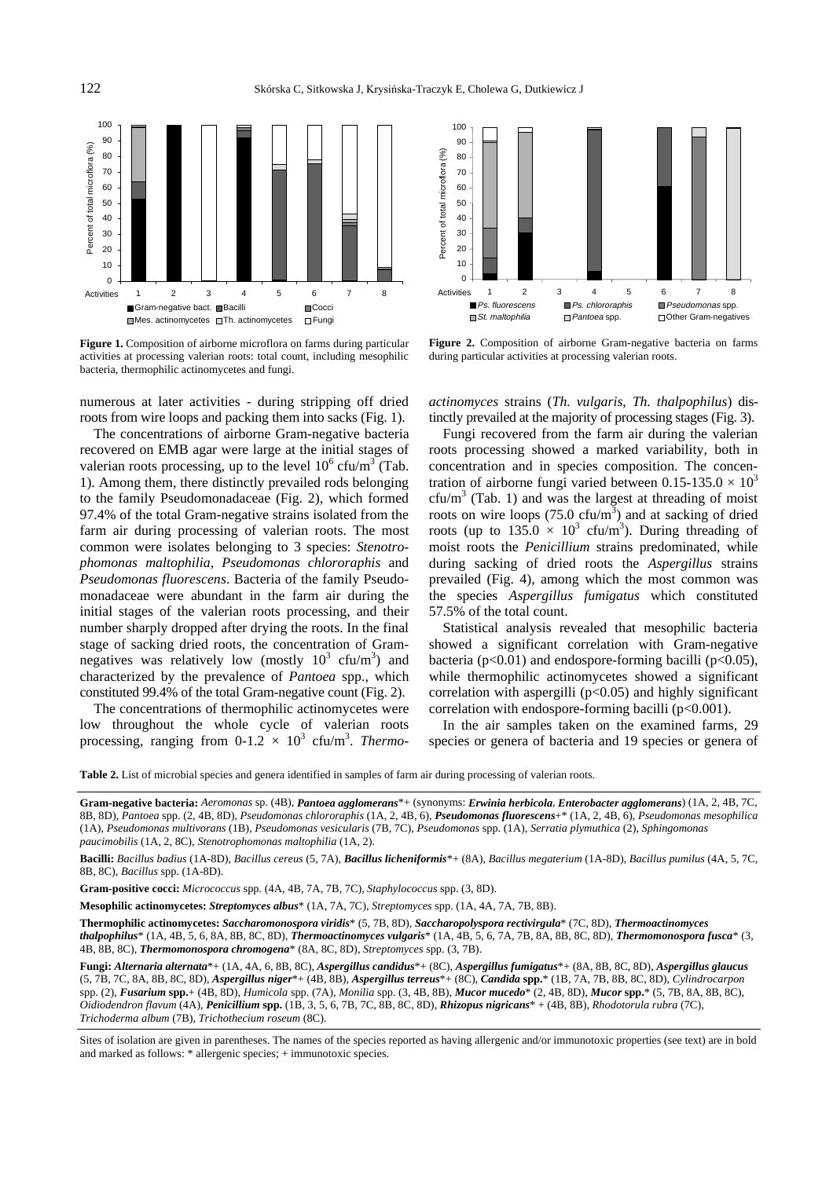



**Figure 1.** Composition of airborne microflora on farms during particular activities at processing valerian roots: total count, including mesophilic bacteria, thermophilic actinomycetes and fungi.

numerous at later activities - during stripping off dried roots from wire loops and packing them into sacks (Fig. 1).

The concentrations of airborne Gram-negative bacteria recovered on EMB agar were large at the initial stages of valerian roots processing, up to the level  $10^6$  cfu/m<sup>3</sup> (Tab. 1). Among them, there distinctly prevailed rods belonging to the family Pseudomonadaceae (Fig. 2), which formed 97.4% of the total Gram-negative strains isolated from the farm air during processing of valerian roots. The most common were isolates belonging to 3 species: *Stenotrophomonas maltophilia*, *Pseudomonas chlororaphis* and *Pseudomonas fluorescens*. Bacteria of the family Pseudomonadaceae were abundant in the farm air during the initial stages of the valerian roots processing, and their number sharply dropped after drying the roots. In the final stage of sacking dried roots, the concentration of Gramnegatives was relatively low (mostly  $10^3$  cfu/m<sup>3</sup>) and characterized by the prevalence of *Pantoea* spp., which constituted 99.4% of the total Gram-negative count (Fig. 2).

The concentrations of thermophilic actinomycetes were low throughout the whole cycle of valerian roots processing, ranging from  $0-1.2 \times 10^3$  cfu/m<sup>3</sup>. *Thermo-*

**Figure 2.** Composition of airborne Gram-negative bacteria on farms during particular activities at processing valerian roots.

*actinomyces* strains (*Th. vulgaris*, *Th. thalpophilus*) distinctly prevailed at the majority of processing stages (Fig. 3).

Fungi recovered from the farm air during the valerian roots processing showed a marked variability, both in concentration and in species composition. The concentration of airborne fungi varied between  $0.15{\text -}135.0 \times 10^3$  $cfu/m<sup>3</sup>$  (Tab. 1) and was the largest at threading of moist roots on wire loops  $(75.0 \text{ cfu/m}^3)$  and at sacking of dried roots (up to  $135.0 \times 10^3$  cfu/m<sup>3</sup>). During threading of moist roots the *Penicillium* strains predominated, while during sacking of dried roots the *Aspergillus* strains prevailed (Fig. 4), among which the most common was the species *Aspergillus fumigatus* which constituted 57.5% of the total count.

Statistical analysis revealed that mesophilic bacteria showed a significant correlation with Gram-negative bacteria ( $p<0.01$ ) and endospore-forming bacilli ( $p<0.05$ ), while thermophilic actinomycetes showed a significant correlation with aspergilli  $(p<0.05)$  and highly significant correlation with endospore-forming bacilli  $(p<0.001)$ .

In the air samples taken on the examined farms, 29 species or genera of bacteria and 19 species or genera of

**Table 2.** List of microbial species and genera identified in samples of farm air during processing of valerian roots.

**Gram-negative bacteria:** *Aeromonas* sp. (4B), *Pantoea agglomerans*\*+ (synonyms: *Erwinia herbicola*, *Enterobacter agglomerans*) (1A, 2, 4B, 7C, 8B, 8D), *Pantoea* spp. (2, 4B, 8D), *Pseudomonas chlororaphis* (1A, 2, 4B, 6), *Pseudomonas fluorescens*+\* (1A, 2, 4B, 6), *Pseudomonas mesophilica* (1A), *Pseudomonas multivorans* (1B), *Pseudomonas vesicularis* (7B, 7C), *Pseudomonas* spp. (1A), *Serratia plymuthica* (2), *Sphingomonas paucimobilis* (1A, 2, 8C), *Stenotrophomonas maltophilia* (1A, 2).

**Bacilli:** *Bacillus badius* (1A-8D), *Bacillus cereus* (5, 7A), *Bacillus licheniformis*\*+ (8A), *Bacillus megaterium* (1A-8D), *Bacillus pumilus* (4A, 5, 7C, 8B, 8C), *Bacillus* spp. (1A-8D).

**Gram-positive cocci:** *Micrococcus* spp. (4A, 4B, 7A, 7B, 7C), *Staphylococcus* spp. (3, 8D).

**Mesophilic actinomycetes:** *Streptomyces albus*\* (1A, 7A, 7C), *Streptomyces* spp. (1A, 4A, 7A, 7B, 8B).

**Thermophilic actinomycetes:** *Saccharomonospora viridis*\* (5, 7B, 8D), *Saccharopolyspora rectivirgula*\* (7C, 8D), *Thermoactinomyces* 

*thalpophilus*\* (1A, 4B, 5, 6, 8A, 8B, 8C, 8D), *Thermoactinomyces vulgaris*\* (1A, 4B, 5, 6, 7A, 7B, 8A, 8B, 8C, 8D), *Thermomonospora fusca*\* (3, 4B, 8B, 8C), *Thermomonospora chromogena*\* (8A, 8C, 8D), *Streptomyces* spp. (3, 7B).

**Fungi:** *Alternaria alternata*\*+ (1A, 4A, 6, 8B, 8C), *Aspergillus candidus*\*+ (8C), *Aspergillus fumigatus*\*+ (8A, 8B, 8C, 8D), *Aspergillus glaucus* (5, 7B, 7C, 8A, 8B, 8C, 8D), *Aspergillus niger*\*+ (4B, 8B), *Aspergillus terreus*\*+ (8C), *Candida* **spp.**\* (1B, 7A, 7B, 8B, 8C, 8D), *Cylindrocarpon* spp. (2), *Fusarium* **spp.**+ (4B, 8D), *Humicola* spp. (7A), *Monilia* spp. (3, 4B, 8B), *Mucor mucedo*\* (2, 4B, 8D), *Mucor* **spp.**\* (5, 7B, 8A, 8B, 8C), *Oidiodendron flavum* (4A), *Penicillium* **spp.** (1B, 3, 5, 6, 7B, 7C, 8B, 8C, 8D), *Rhizopus nigricans*\* + (4B, 8B), *Rhodotorula rubra* (7C), *Trichoderma album* (7B), *Trichothecium roseum* (8C).

Sites of isolation are given in parentheses. The names of the species reported as having allergenic and/or immunotoxic properties (see text) are in bold and marked as follows: \* allergenic species; + immunotoxic species.

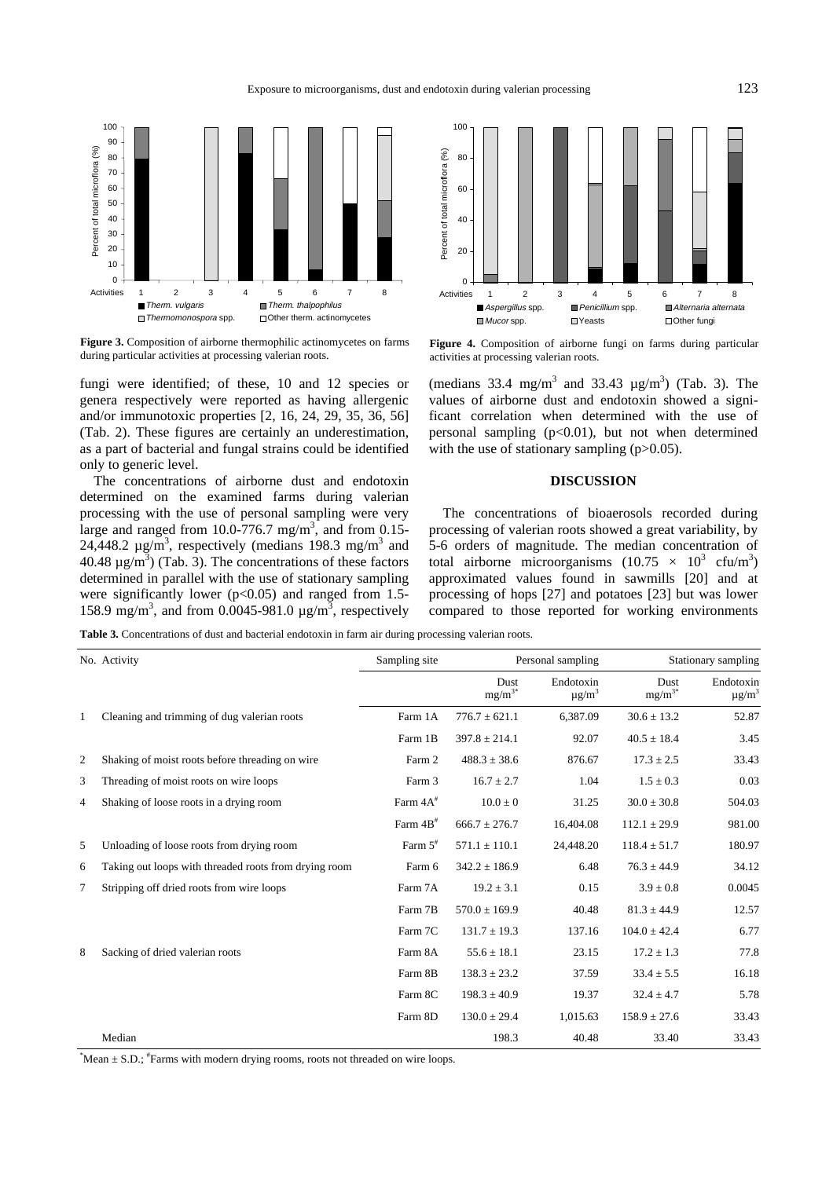

**Figure 3.** Composition of airborne thermophilic actinomycetes on farms during particular activities at processing valerian roots.

fungi were identified; of these, 10 and 12 species or genera respectively were reported as having allergenic and/or immunotoxic properties [2, 16, 24, 29, 35, 36, 56] (Tab. 2). These figures are certainly an underestimation, as a part of bacterial and fungal strains could be identified only to generic level.

The concentrations of airborne dust and endotoxin determined on the examined farms during valerian processing with the use of personal sampling were very large and ranged from 10.0-776.7 mg/m<sup>3</sup>, and from 0.15-24,448.2  $\mu$ g/m<sup>3</sup>, respectively (medians 198.3 mg/m<sup>3</sup> and 40.48  $\mu$ g/m<sup>3</sup>) (Tab. 3). The concentrations of these factors determined in parallel with the use of stationary sampling were significantly lower ( $p<0.05$ ) and ranged from 1.5-158.9 mg/m<sup>3</sup>, and from 0.0045-981.0  $\mu$ g/m<sup>3</sup>, respectively



**Figure 4.** Composition of airborne fungi on farms during particular activities at processing valerian roots.

(medians 33.4 mg/m<sup>3</sup> and 33.43  $\mu$ g/m<sup>3</sup>) (Tab. 3). The values of airborne dust and endotoxin showed a significant correlation when determined with the use of personal sampling  $(p<0.01)$ , but not when determined with the use of stationary sampling (p>0.05).

# **DISCUSSION**

The concentrations of bioaerosols recorded during processing of valerian roots showed a great variability, by 5-6 orders of magnitude. The median concentration of total airborne microorganisms  $(10.75 \times 10^3 \text{ cftu/m}^3)$ approximated values found in sawmills [20] and at processing of hops [27] and potatoes [23] but was lower compared to those reported for working environments

**Table 3.** Concentrations of dust and bacterial endotoxin in farm air during processing valerian roots.

|                | No. Activity                                          | Sampling site | Personal sampling          |                                     | Stationary sampling        |                          |
|----------------|-------------------------------------------------------|---------------|----------------------------|-------------------------------------|----------------------------|--------------------------|
|                |                                                       |               | <b>Dust</b><br>$mg/m^{3*}$ | Endotoxin<br>$\mu$ g/m <sup>3</sup> | <b>Dust</b><br>$mg/m^{3*}$ | Endotoxin<br>$\mu g/m^3$ |
| 1              | Cleaning and trimming of dug valerian roots           | Farm 1A       | $776.7 \pm 621.1$          | 6,387.09                            | $30.6 \pm 13.2$            | 52.87                    |
|                |                                                       | Farm 1B       | $397.8 \pm 214.1$          | 92.07                               | $40.5 \pm 18.4$            | 3.45                     |
| $\mathfrak{2}$ | Shaking of moist roots before threading on wire       | Farm 2        | $488.3 \pm 38.6$           | 876.67                              | $17.3 \pm 2.5$             | 33.43                    |
| 3              | Threading of moist roots on wire loops                | Farm 3        | $16.7 \pm 2.7$             | 1.04                                | $1.5 \pm 0.3$              | 0.03                     |
| 4              | Shaking of loose roots in a drying room               | Farm $4A^*$   | $10.0 \pm 0$               | 31.25                               | $30.0 \pm 30.8$            | 504.03                   |
|                |                                                       | Farm $4B^*$   | $666.7 \pm 276.7$          | 16,404.08                           | $112.1 \pm 29.9$           | 981.00                   |
| 5              | Unloading of loose roots from drying room             | Farm $5^*$    | $571.1 \pm 110.1$          | 24,448.20                           | $118.4 \pm 51.7$           | 180.97                   |
| 6              | Taking out loops with threaded roots from drying room | Farm 6        | $342.2 \pm 186.9$          | 6.48                                | $76.3 \pm 44.9$            | 34.12                    |
| 7              | Stripping off dried roots from wire loops             | Farm 7A       | $19.2 \pm 3.1$             | 0.15                                | $3.9 \pm 0.8$              | 0.0045                   |
|                |                                                       | Farm 7B       | $570.0 \pm 169.9$          | 40.48                               | $81.3 \pm 44.9$            | 12.57                    |
|                |                                                       | Farm 7C       | $131.7 \pm 19.3$           | 137.16                              | $104.0 \pm 42.4$           | 6.77                     |
| 8              | Sacking of dried valerian roots                       | Farm 8A       | $55.6 \pm 18.1$            | 23.15                               | $17.2 \pm 1.3$             | 77.8                     |
|                |                                                       | Farm 8B       | $138.3 \pm 23.2$           | 37.59                               | $33.4 \pm 5.5$             | 16.18                    |
|                |                                                       | Farm 8C       | $198.3 \pm 40.9$           | 19.37                               | $32.4 \pm 4.7$             | 5.78                     |
|                |                                                       | Farm 8D       | $130.0 \pm 29.4$           | 1,015.63                            | $158.9 \pm 27.6$           | 33.43                    |
|                | Median                                                |               | 198.3                      | 40.48                               | 33.40                      | 33.43                    |

\* Mean ± S.D.; # Farms with modern drying rooms, roots not threaded on wire loops.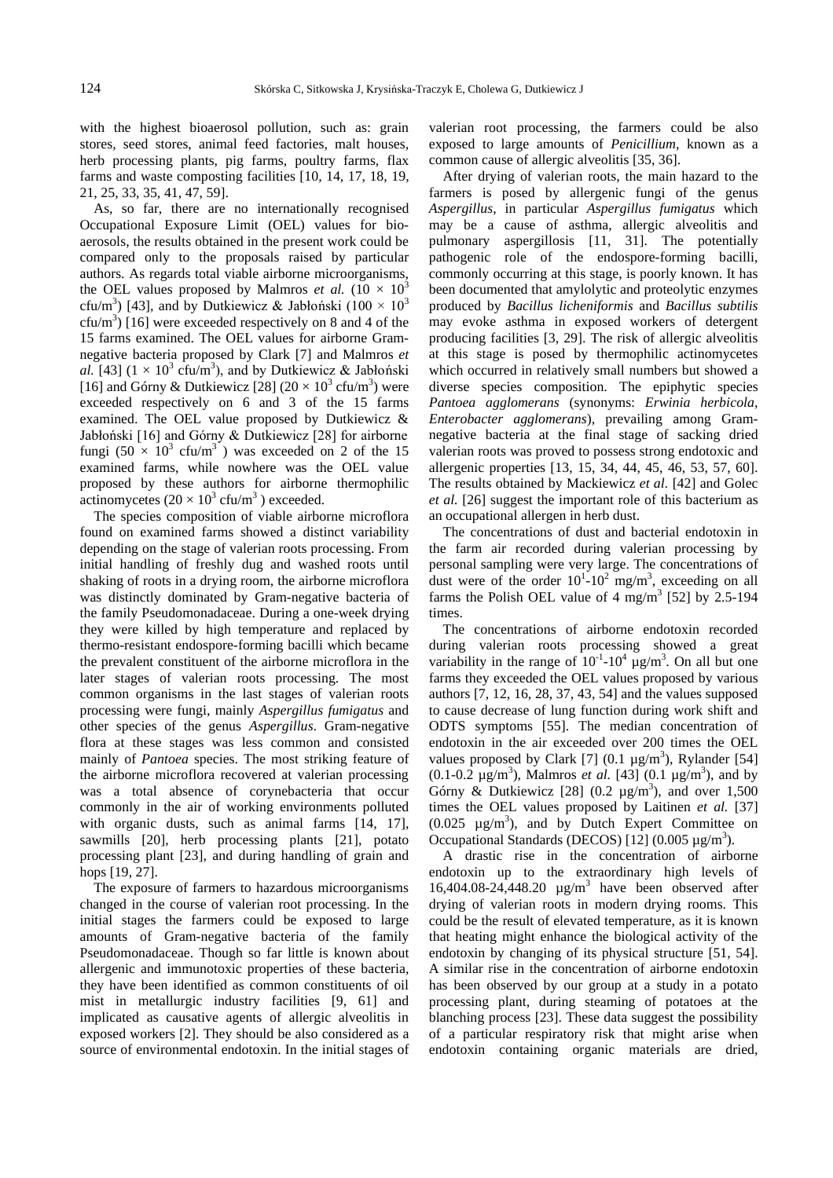with the highest bioaerosol pollution, such as: grain stores, seed stores, animal feed factories, malt houses, herb processing plants, pig farms, poultry farms, flax farms and waste composting facilities [10, 14, 17, 18, 19, 21, 25, 33, 35, 41, 47, 59].

As, so far, there are no internationally recognised Occupational Exposure Limit (OEL) values for bioaerosols, the results obtained in the present work could be compared only to the proposals raised by particular authors. As regards total viable airborne microorganisms, the OEL values proposed by Malmros *et al.*  $(10 \times 10^3)$ cfu/m<sup>3</sup>) [43], and by Dutkiewicz & Jabłoński (100  $\times$  10<sup>3</sup> cfu/m<sup>3</sup>) [16] were exceeded respectively on 8 and 4 of the 15 farms examined. The OEL values for airborne Gramnegative bacteria proposed by Clark [7] and Malmros *et*  al. [43]  $(1 \times 10^3 \text{ c} \text{fu/m}^3)$ , and by Dutkiewicz & Jabłoński [16] and Górny & Dutkiewicz [28]  $(20 \times 10^3 \text{ cft/m}^3)$  were exceeded respectively on 6 and 3 of the 15 farms examined. The OEL value proposed by Dutkiewicz & Jabłoński [16] and Górny & Dutkiewicz [28] for airborne fungi  $(50 \times 10^3 \text{ cfu/m}^3)$  was exceeded on 2 of the 15 examined farms, while nowhere was the OEL value proposed by these authors for airborne thermophilic actinomycetes  $(20 \times 10^3 \text{ cft/m}^3)$  exceeded.

The species composition of viable airborne microflora found on examined farms showed a distinct variability depending on the stage of valerian roots processing. From initial handling of freshly dug and washed roots until shaking of roots in a drying room, the airborne microflora was distinctly dominated by Gram-negative bacteria of the family Pseudomonadaceae. During a one-week drying they were killed by high temperature and replaced by thermo-resistant endospore-forming bacilli which became the prevalent constituent of the airborne microflora in the later stages of valerian roots processing. The most common organisms in the last stages of valerian roots processing were fungi, mainly *Aspergillus fumigatus* and other species of the genus *Aspergillus*. Gram-negative flora at these stages was less common and consisted mainly of *Pantoea* species. The most striking feature of the airborne microflora recovered at valerian processing was a total absence of corynebacteria that occur commonly in the air of working environments polluted with organic dusts, such as animal farms [14, 17], sawmills [20], herb processing plants [21], potato processing plant [23], and during handling of grain and hops [19, 27].

The exposure of farmers to hazardous microorganisms changed in the course of valerian root processing. In the initial stages the farmers could be exposed to large amounts of Gram-negative bacteria of the family Pseudomonadaceae. Though so far little is known about allergenic and immunotoxic properties of these bacteria, they have been identified as common constituents of oil mist in metallurgic industry facilities [9, 61] and implicated as causative agents of allergic alveolitis in exposed workers [2]. They should be also considered as a source of environmental endotoxin. In the initial stages of valerian root processing, the farmers could be also exposed to large amounts of *Penicillium*, known as a common cause of allergic alveolitis [35, 36].

After drying of valerian roots, the main hazard to the farmers is posed by allergenic fungi of the genus *Aspergillus*, in particular *Aspergillus fumigatus* which may be a cause of asthma, allergic alveolitis and pulmonary aspergillosis [11, 31]. The potentially pathogenic role of the endospore-forming bacilli, commonly occurring at this stage, is poorly known. It has been documented that amylolytic and proteolytic enzymes produced by *Bacillus licheniformis* and *Bacillus subtilis* may evoke asthma in exposed workers of detergent producing facilities [3, 29]. The risk of allergic alveolitis at this stage is posed by thermophilic actinomycetes which occurred in relatively small numbers but showed a diverse species composition. The epiphytic species *Pantoea agglomerans* (synonyms: *Erwinia herbicola*, *Enterobacter agglomerans*), prevailing among Gramnegative bacteria at the final stage of sacking dried valerian roots was proved to possess strong endotoxic and allergenic properties [13, 15, 34, 44, 45, 46, 53, 57, 60]. The results obtained by Mackiewicz *et al.* [42] and Golec *et al.* [26] suggest the important role of this bacterium as an occupational allergen in herb dust.

The concentrations of dust and bacterial endotoxin in the farm air recorded during valerian processing by personal sampling were very large. The concentrations of dust were of the order  $10^{1}$ - $10^{2}$  mg/m<sup>3</sup>, exceeding on all farms the Polish OEL value of 4 mg/m<sup>3</sup> [52] by 2.5-194 times.

The concentrations of airborne endotoxin recorded during valerian roots processing showed a great variability in the range of  $10^{-1}$ - $10^{4}$   $\mu$ g/m<sup>3</sup>. On all but one farms they exceeded the OEL values proposed by various authors [7, 12, 16, 28, 37, 43, 54] and the values supposed to cause decrease of lung function during work shift and ODTS symptoms [55]. The median concentration of endotoxin in the air exceeded over 200 times the OEL values proposed by Clark [7]  $(0.1 \mu g/m^3)$ , Rylander [54]  $(0.1 - 0.2 \text{ µg/m}^3)$ , Malmros *et al.* [43]  $(0.1 \text{ µg/m}^3)$ , and by Górny & Dutkiewicz [28]  $(0.2 \text{ µg/m}^3)$ , and over 1,500 times the OEL values proposed by Laitinen *et al.* [37]  $(0.025 \text{ µg/m}^3)$ , and by Dutch Expert Committee on Occupational Standards (DECOS) [12]  $(0.005 \mu g/m^3)$ .

A drastic rise in the concentration of airborne endotoxin up to the extraordinary high levels of 16,404.08-24,448.20  $\mu$ g/m<sup>3</sup> have been observed after drying of valerian roots in modern drying rooms. This could be the result of elevated temperature, as it is known that heating might enhance the biological activity of the endotoxin by changing of its physical structure [51, 54]. A similar rise in the concentration of airborne endotoxin has been observed by our group at a study in a potato processing plant, during steaming of potatoes at the blanching process [23]. These data suggest the possibility of a particular respiratory risk that might arise when endotoxin containing organic materials are dried,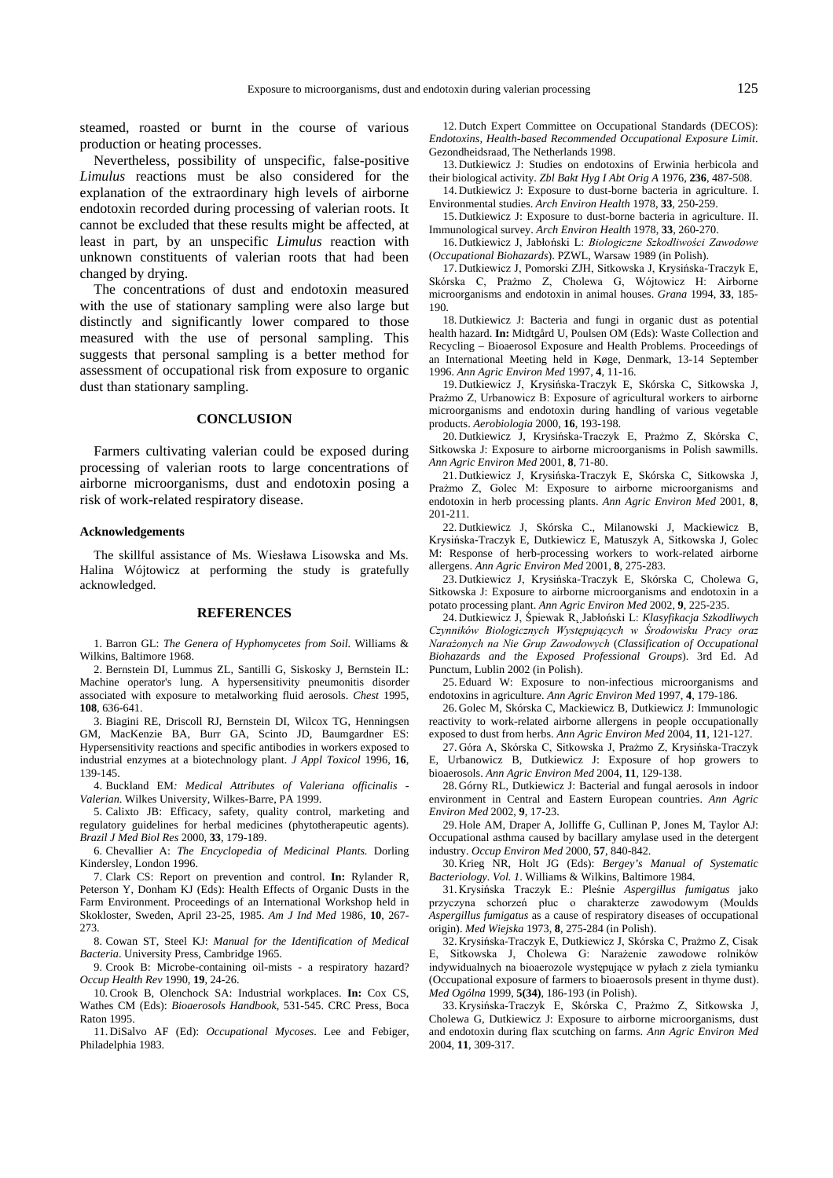steamed, roasted or burnt in the course of various production or heating processes.

Nevertheless, possibility of unspecific, false-positive *Limulus* reactions must be also considered for the explanation of the extraordinary high levels of airborne endotoxin recorded during processing of valerian roots. It cannot be excluded that these results might be affected, at least in part, by an unspecific *Limulus* reaction with unknown constituents of valerian roots that had been changed by drying.

The concentrations of dust and endotoxin measured with the use of stationary sampling were also large but distinctly and significantly lower compared to those measured with the use of personal sampling. This suggests that personal sampling is a better method for assessment of occupational risk from exposure to organic dust than stationary sampling.

### **CONCLUSION**

Farmers cultivating valerian could be exposed during processing of valerian roots to large concentrations of airborne microorganisms, dust and endotoxin posing a risk of work-related respiratory disease.

#### **Acknowledgements**

The skillful assistance of Ms. Wiesława Lisowska and Ms. Halina Wójtowicz at performing the study is gratefully acknowledged.

#### **REFERENCES**

1. Barron GL: *The Genera of Hyphomycetes from Soil*. Williams & Wilkins, Baltimore 1968.

2. Bernstein DI, Lummus ZL, Santilli G, Siskosky J, Bernstein IL: Machine operator's lung. A hypersensitivity pneumonitis disorder associated with exposure to metalworking fluid aerosols. *Chest* 1995, **108**, 636-641.

3. Biagini RE, Driscoll RJ, Bernstein DI, Wilcox TG, Henningsen GM, MacKenzie BA, Burr GA, Scinto JD, Baumgardner ES: Hypersensitivity reactions and specific antibodies in workers exposed to industrial enzymes at a biotechnology plant. *J Appl Toxicol* 1996, **16**, 139-145.

4. Buckland EM*: Medical Attributes of Valeriana officinalis - Valerian*. Wilkes University, Wilkes-Barre, PA 1999.

5. Calixto JB: Efficacy, safety, quality control, marketing and regulatory guidelines for herbal medicines (phytotherapeutic agents). *Brazil J Med Biol Res* 2000, **33**, 179-189.

6. Chevallier A: *The Encyclopedia of Medicinal Plants*. Dorling Kindersley, London 1996.

7. Clark CS: Report on prevention and control. **In:** Rylander R, Peterson Y, Donham KJ (Eds): Health Effects of Organic Dusts in the Farm Environment. Proceedings of an International Workshop held in Skokloster, Sweden, April 23-25, 1985. *Am J Ind Med* 1986, **10**, 267- 273.

8. Cowan ST, Steel KJ: *Manual for the Identification of Medical Bacteria*. University Press, Cambridge 1965.

9. Crook B: Microbe-containing oil-mists - a respiratory hazard? *Occup Health Rev* 1990, **19**, 24-26.

10. Crook B, Olenchock SA: Industrial workplaces. **In:** Cox CS, Wathes CM (Eds): *Bioaerosols Handbook*, 531-545. CRC Press, Boca Raton 1995.

11. DiSalvo AF (Ed): *Occupational Mycoses*. Lee and Febiger, Philadelphia 1983.

12. Dutch Expert Committee on Occupational Standards (DECOS): *Endotoxins, Health-based Recommended Occupational Exposure Limit*. Gezondheidsraad, The Netherlands 1998.

13. Dutkiewicz J: Studies on endotoxins of Erwinia herbicola and their biological activity. *Zbl Bakt Hyg I Abt Orig A* 1976, **236**, 487-508.

14. Dutkiewicz J: Exposure to dust-borne bacteria in agriculture. I. Environmental studies. *Arch Environ Health* 1978, **33**, 250-259.

15. Dutkiewicz J: Exposure to dust-borne bacteria in agriculture. II. Immunological survey. *Arch Environ Health* 1978, **33**, 260-270.

16. Dutkiewicz J, Jabłoński L: Biologiczne Szkodliwości Zawodowe (*Occupational Biohazards*). PZWL, Warsaw 1989 (in Polish).

17. Dutkiewicz J, Pomorski ZJH, Sitkowska J, Krysińska-Traczyk E, Skórska C, Prażmo Z, Cholewa G, Wójtowicz H: Airborne microorganisms and endotoxin in animal houses. *Grana* 1994, **33**, 185- 190.

18. Dutkiewicz J: Bacteria and fungi in organic dust as potential health hazard. **In:** Midtgård U, Poulsen OM (Eds): Waste Collection and Recycling – Bioaerosol Exposure and Health Problems. Proceedings of an International Meeting held in Køge, Denmark, 13-14 September 1996. *Ann Agric Environ Med* 1997, **4**, 11-16.

19. Dutkiewicz J, Krysińska-Traczyk E, Skórska C, Sitkowska J, Prazmo Z. Urbanowicz B: Exposure of agricultural workers to airborne microorganisms and endotoxin during handling of various vegetable products. *Aerobiologia* 2000, **16**, 193-198.

20. Dutkiewicz J, Krysińska-Traczyk E, Prażmo Z, Skórska C, Sitkowska J: Exposure to airborne microorganisms in Polish sawmills. *Ann Agric Environ Med* 2001, **8**, 71-80.

21. Dutkiewicz J, Krysińska-Traczyk E, Skórska C, Sitkowska J, Prażmo Z, Golec M: Exposure to airborne microorganisms and endotoxin in herb processing plants. *Ann Agric Environ Med* 2001, **8**, 201-211.

22. Dutkiewicz J, Skórska C., Milanowski J, Mackiewicz B, Krysińska-Traczyk E, Dutkiewicz E, Matuszyk A, Sitkowska J, Golec M: Response of herb-processing workers to work-related airborne allergens. *Ann Agric Environ Med* 2001, **8**, 275-283.

23. Dutkiewicz J, Krysińska-Traczyk E, Skórska C, Cholewa G, Sitkowska J: Exposure to airborne microorganisms and endotoxin in a potato processing plant. *Ann Agric Environ Med* 2002, **9**, 225-235.

24. Dutkiewicz J, Śpiewak R, Jabłoński L: Klasyfikacja Szkodliwych 24. Dutkiewicz J, Śpiewak R, Jabłoński L: *Klasyfikacja Szkodliwych Czynników Biologicznych Występujących w Środowisku Pracy oraz*  $Narazonych$  na Nie Grup Zawodowych (Classification of Occupational *Biohazards and the Exposed Professional Groups*). 3rd Ed. Ad Punctum, Lublin 2002 (in Polish).

25. Eduard W: Exposure to non-infectious microorganisms and endotoxins in agriculture. *Ann Agric Environ Med* 1997, **4**, 179-186.

26. Golec M, Skórska C, Mackiewicz B, Dutkiewicz J: Immunologic reactivity to work-related airborne allergens in people occupationally exposed to dust from herbs. *Ann Agric Environ Med* 2004, **11**, 121-127.

27. Góra A, Skórska C, Sitkowska J, Prażmo Z, Krysińska-Traczyk E, Urbanowicz B, Dutkiewicz J: Exposure of hop growers to bioaerosols. *Ann Agric Environ Med* 2004, **11**, 129-138.

28. Górny RL, Dutkiewicz J: Bacterial and fungal aerosols in indoor environment in Central and Eastern European countries. *Ann Agric Environ Med* 2002, **9**, 17-23.

29. Hole AM, Draper A, Jolliffe G, Cullinan P, Jones M, Taylor AJ: Occupational asthma caused by bacillary amylase used in the detergent industry. *Occup Environ Med* 2000, **57**, 840-842.

30. Krieg NR, Holt JG (Eds): *Bergey's Manual of Systematic Bacteriology. Vol. 1*. Williams & Wilkins, Baltimore 1984.

31. Krysińska Traczyk E.: Pleśnie Aspergillus fumigatus jako przyczyna schorzeń płuc o charakterze zawodowym (Moulds *Aspergillus fumigatus* as a cause of respiratory diseases of occupational origin). *Med Wiejska* 1973, **8**, 275-284 (in Polish).

32. Krysińska-Traczyk E, Dutkiewicz J, Skórska C, Prażmo Z, Cisak E, Sitkowska J, Cholewa G: Narażenie zawodowe rolników indywidualnych na bioaerozole występujące w pyłach z ziela tymianku (Occupational exposure of farmers to bioaerosols present in thyme dust). *Med Ogólna* 1999, **5(34)**, 186-193 (in Polish).

33. Krysińska-Traczyk E, Skórska C, Prażmo Z, Sitkowska J, Cholewa G, Dutkiewicz J: Exposure to airborne microorganisms, dust and endotoxin during flax scutching on farms. *Ann Agric Environ Med* 2004, **11**, 309-317.